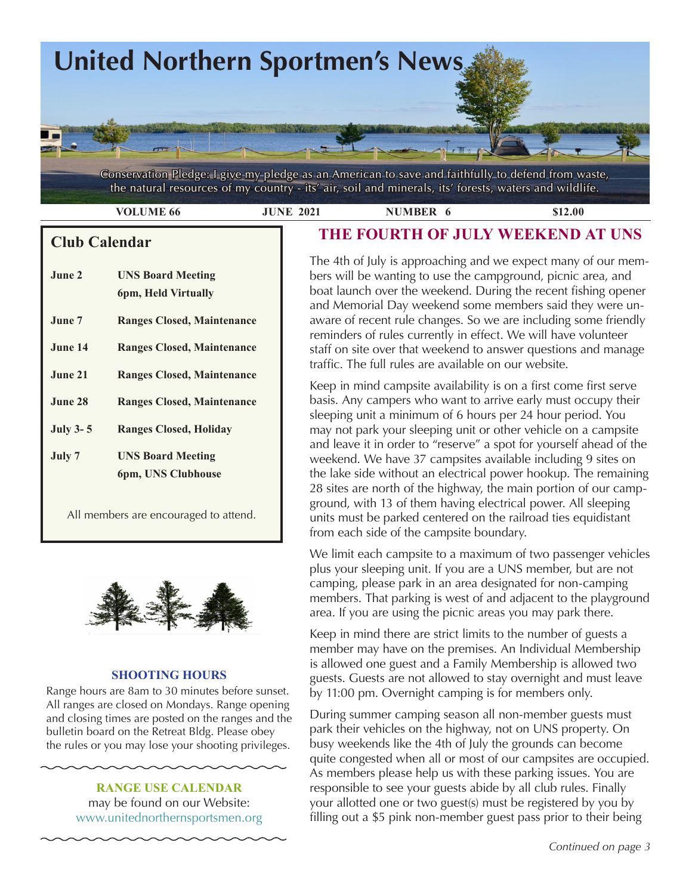

Conservation Pledge: I give my pledge as an American to save and faithfully to defend from waste, the natural resources of my country - its' air, soil and minerals, its' forests, waters and wildlife.

 **VOLUME 66 JUNE 2021 NUMBER 6 \$12.00** 

# **Club Calendar**

| June 2          | <b>UNS Board Meeting</b><br>6pm, Held Virtually |
|-----------------|-------------------------------------------------|
| June 7.         | <b>Ranges Closed, Maintenance</b>               |
| June 14         | <b>Ranges Closed, Maintenance</b>               |
| June 21         | <b>Ranges Closed, Maintenance</b>               |
| June 28         | <b>Ranges Closed, Maintenance</b>               |
| <b>July 3-5</b> | <b>Ranges Closed, Holiday</b>                   |
| July 7          | <b>UNS Board Meeting</b><br>6pm, UNS Clubhouse  |

All members are encouraged to attend.



## **SHOOTING HOURS**

Range hours are 8am to 30 minutes before sunset. All ranges are closed on Mondays. Range opening and closing times are posted on the ranges and the bulletin board on the Retreat Bldg. Please obey the rules or you may lose your shooting privileges.

> **RANGE USE CALENDAR**  may be found on our Website: [www.unitednorthernsportsmen.org](http://www.unitednorthernsportsmen.org)

# **THE FOURTH OF JULY WEEKEND AT UNS**

The 4th of July is approaching and we expect many of our members will be wanting to use the campground, picnic area, and boat launch over the weekend. During the recent fishing opener and Memorial Day weekend some members said they were unaware of recent rule changes. So we are including some friendly reminders of rules currently in effect. We will have volunteer staff on site over that weekend to answer questions and manage traffic. The full rules are available on our website.

Keep in mind campsite availability is on a first come first serve basis. Any campers who want to arrive early must occupy their sleeping unit a minimum of 6 hours per 24 hour period. You may not park your sleeping unit or other vehicle on a campsite and leave it in order to "reserve" a spot for yourself ahead of the weekend. We have 37 campsites available including 9 sites on the lake side without an electrical power hookup. The remaining 28 sites are north of the highway, the main portion of our campground, with 13 of them having electrical power. All sleeping units must be parked centered on the railroad ties equidistant from each side of the campsite boundary.

plus your sleeping unit. If you are a UNS member, but are not Yorik's blender greenhouse We limit each campsite to a maximum of two passenger vehicles camping, please park in an area designated for non-camping members. That parking is west of and adjacent to the playground area. If you are using the picnic areas you may park there.

Keep in mind there are strict limits to the number of guests a member may have on the premises. An Individual Membership is allowed one guest and a Family Membership is allowed two guests. Guests are not allowed to stay overnight and must leave by 11:00 pm. Overnight camping is for members only.

During summer camping season all non-member guests must park their vehicles on the highway, not on UNS property. On busy weekends like the 4th of July the grounds can become quite congested when all or most of our campsites are occupied. As members please help us with these parking issues. You are responsible to see your guests abide by all club rules. Finally your allotted one or two guest(s) must be registered by you by filling out a \$5 pink non-member guest pass prior to their being

*Continued on page 3*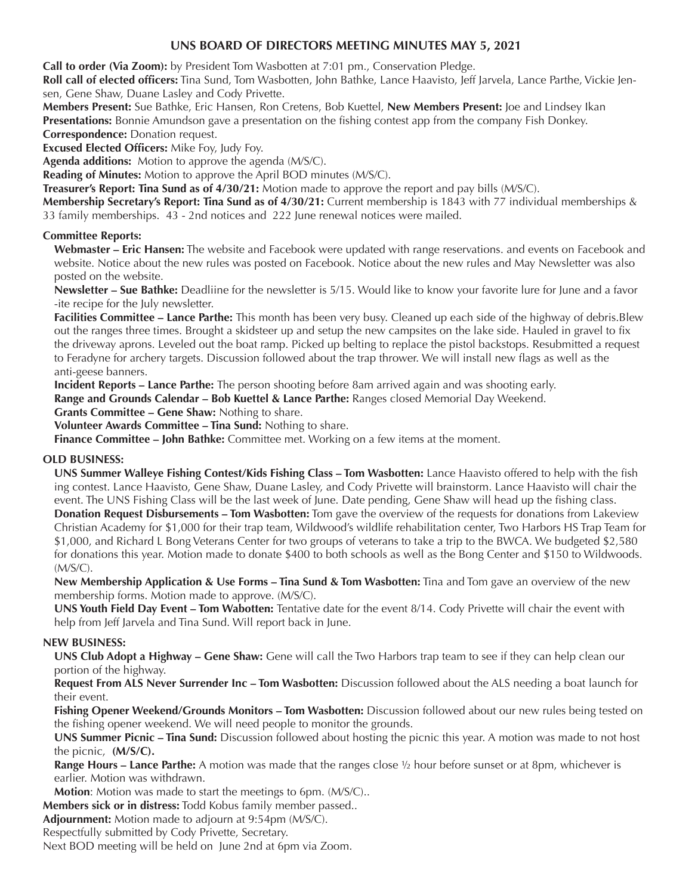## **UNS BOARD OF DIRECTORS MEETING MINUTES MAY 5, 2021**

**Call to order (Via Zoom):** by President Tom Wasbotten at 7:01 pm., Conservation Pledge.

**Roll call of elected officers:** Tina Sund, Tom Wasbotten, John Bathke, Lance Haavisto, Jeff Jarvela, Lance Parthe, Vickie Jensen, Gene Shaw, Duane Lasley and Cody Privette.

**Members Present:** Sue Bathke, Eric Hansen, Ron Cretens, Bob Kuettel, **New Members Present:** Joe and Lindsey Ikan **Presentations:** Bonnie Amundson gave a presentation on the fishing contest app from the company Fish Donkey. **Correspondence:** Donation request.

**Excused Elected Officers:** Mike Foy, Judy Foy.

**Agenda additions:** Motion to approve the agenda (M/S/C).

**Reading of Minutes:** Motion to approve the April BOD minutes (M/S/C).

**Treasurer's Report: Tina Sund as of 4/30/21:** Motion made to approve the report and pay bills (M/S/C).

**Membership Secretary's Report: Tina Sund as of 4/30/21:** Current membership is 1843 with 77 individual memberships & 33 family memberships. 43 - 2nd notices and 222 June renewal notices were mailed.

## **Committee Reports:**

**Webmaster – Eric Hansen:** The website and Facebook were updated with range reservations. and events on Facebook and website. Notice about the new rules was posted on Facebook. Notice about the new rules and May Newsletter was also posted on the website.

**Newsletter – Sue Bathke:** Deadliine for the newsletter is 5/15. Would like to know your favorite lure for June and a favor -ite recipe for the July newsletter.

**Facilities Committee – Lance Parthe:** This month has been very busy. Cleaned up each side of the highway of debris.Blew out the ranges three times. Brought a skidsteer up and setup the new campsites on the lake side. Hauled in gravel to fix the driveway aprons. Leveled out the boat ramp. Picked up belting to replace the pistol backstops. Resubmitted a request to Feradyne for archery targets. Discussion followed about the trap thrower. We will install new flags as well as the anti-geese banners.

**Incident Reports – Lance Parthe:** The person shooting before 8am arrived again and was shooting early.

**Range and Grounds Calendar – Bob Kuettel & Lance Parthe:** Ranges closed Memorial Day Weekend.

**Grants Committee – Gene Shaw:** Nothing to share.

**Volunteer Awards Committee – Tina Sund:** Nothing to share.

**Finance Committee – John Bathke:** Committee met. Working on a few items at the moment.

## **OLD BUSINESS:**

**UNS Summer Walleye Fishing Contest/Kids Fishing Class – Tom Wasbotten:** Lance Haavisto offered to help with the fish ing contest. Lance Haavisto, Gene Shaw, Duane Lasley, and Cody Privette will brainstorm. Lance Haavisto will chair the event. The UNS Fishing Class will be the last week of June. Date pending, Gene Shaw will head up the fishing class. **Donation Request Disbursements – Tom Wasbotten:** Tom gave the overview of the requests for donations from Lakeview Christian Academy for \$1,000 for their trap team, Wildwood's wildlife rehabilitation center, Two Harbors HS Trap Team for \$1,000, and Richard L Bong Veterans Center for two groups of veterans to take a trip to the BWCA. We budgeted \$2,580 for donations this year. Motion made to donate \$400 to both schools as well as the Bong Center and \$150 to Wildwoods. (M/S/C).

**New Membership Application & Use Forms – Tina Sund & Tom Wasbotten:** Tina and Tom gave an overview of the new membership forms. Motion made to approve. (M/S/C).

**UNS Youth Field Day Event – Tom Wabotten:** Tentative date for the event 8/14. Cody Privette will chair the event with help from Jeff Jarvela and Tina Sund. Will report back in June.

## **NEW BUSINESS:**

**UNS Club Adopt a Highway – Gene Shaw:** Gene will call the Two Harbors trap team to see if they can help clean our portion of the highway.

**Request From ALS Never Surrender Inc – Tom Wasbotten:** Discussion followed about the ALS needing a boat launch for their event.

**Fishing Opener Weekend/Grounds Monitors – Tom Wasbotten:** Discussion followed about our new rules being tested on the fishing opener weekend. We will need people to monitor the grounds.

**UNS Summer Picnic – Tina Sund:** Discussion followed about hosting the picnic this year. A motion was made to not host the picnic, **(M/S/C).**

**Range Hours – Lance Parthe:** A motion was made that the ranges close ½ hour before sunset or at 8pm, whichever is earlier. Motion was withdrawn.

**Motion**: Motion was made to start the meetings to 6pm. (M/S/C)..

**Members sick or in distress:** Todd Kobus family member passed..

**Adjournment:** Motion made to adjourn at 9:54pm (M/S/C).

Respectfully submitted by Cody Privette, Secretary.

Next BOD meeting will be held on June 2nd at 6pm via Zoom.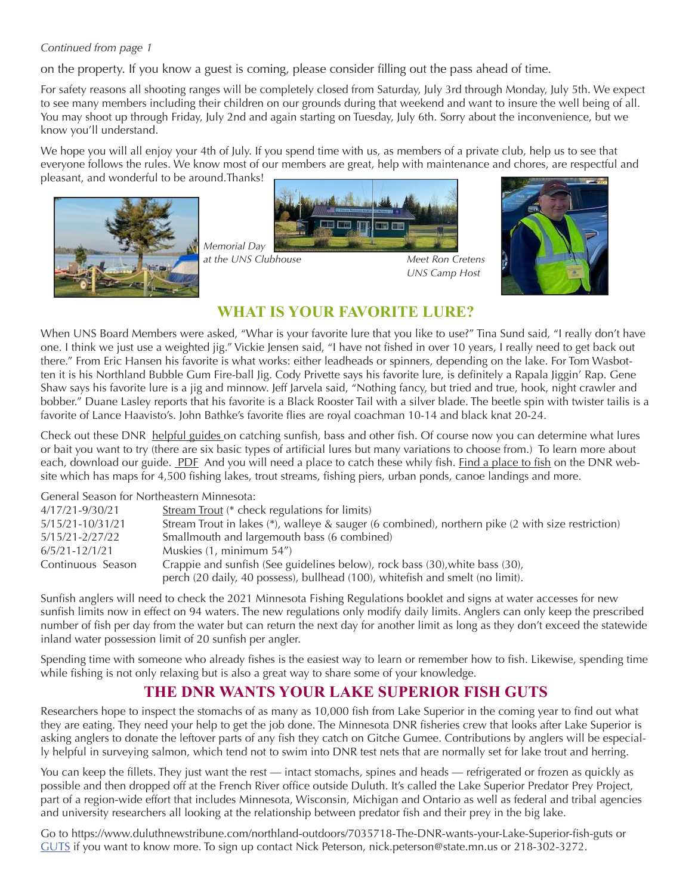## *Continued from page 1*

on the property. If you know a guest is coming, please consider filling out the pass ahead of time.

For safety reasons all shooting ranges will be completely closed from Saturday, July 3rd through Monday, July 5th. We expect to see many members including their children on our grounds during that weekend and want to insure the well being of all. You may shoot up through Friday, July 2nd and again starting on Tuesday, July 6th. Sorry about the inconvenience, but we know you'll understand.

We hope you will all enjoy your 4th of July. If you spend time with us, as members of a private club, help us to see that everyone follows the rules. We know most of our members are great, help with maintenance and chores, are respectful and pleasant, and wonderful to be around.Thanks!





*at the UNS Clubhouse Meet Ron Cretens*



# **WHAT IS YOUR FAVORITE LURE?**

When UNS Board Members were asked, "Whar is your favorite lure that you like to use?" Tina Sund said, "I really don't have one. I think we just use a weighted jig." Vickie Jensen said, "I have not fished in over 10 years, I really need to get back out there." From Eric Hansen his favorite is what works: either leadheads or spinners, depending on the lake. For Tom Wasbotten it is his Northland Bubble Gum Fire-ball Jig. Cody Privette says his favorite lure, is definitely a Rapala Jiggin' Rap. Gene Shaw says his favorite lure is a jig and minnow. Jeff Jarvela said, "Nothing fancy, but tried and true, hook, night crawler and bobber." Duane Lasley reports that his favorite is a Black Rooster Tail with a silver blade. The beetle spin with twister tailis is a favorite of Lance Haavisto's. John Bathke's favorite flies are royal coachman 10-14 and black knat 20-24.

Check out these DNR [helpful guides](https://www.dnr.state.mn.us/gofishing/how-catch-fish.html) on catching sunfish, bass and other fish. Of course now you can determine what lures or bait you want to try (there are six basic types of artificial lures but many variations to choose from.) To learn more about each, download our guide. [PDF](https://files.dnr.state.mn.us/education_safety/education/minnaqua/pier_notes/rods_and_reels.pdf) And you will need a place to catch these whily fish. [Find a place to fish](https://www.dnr.state.mn.us/gofishing/where-fish.html) on the DNR website which has maps for 4,500 fishing lakes, trout streams, fishing piers, urban ponds, canoe landings and more.

General Season for Northeastern Minnesota:

| 4/17/21-9/30/21    | Stream Trout (* check regulations for limits)                                                     |
|--------------------|---------------------------------------------------------------------------------------------------|
| 5/15/21-10/31/21   | Stream Trout in lakes (*), walleye & sauger (6 combined), northern pike (2 with size restriction) |
| 5/15/21-2/27/22    | Smallmouth and largemouth bass (6 combined)                                                       |
| $6/5/21 - 12/1/21$ | Muskies (1, minimum 54")                                                                          |
| Continuous Season  | Crappie and sunfish (See guidelines below), rock bass (30), white bass (30),                      |
|                    | perch (20 daily, 40 possess), bullhead (100), white fish and smelt (no limit).                    |

Sunfish anglers will need to check the 2021 Minnesota Fishing Regulations booklet and signs at water accesses for new sunfish limits now in effect on 94 waters. The new regulations only modify daily limits. Anglers can only keep the prescribed number of fish per day from the water but can return the next day for another limit as long as they don't exceed the statewide inland water possession limit of 20 sunfish per angler.

Spending time with someone who already fishes is the easiest way to learn or remember how to fish. Likewise, spending time while fishing is not only relaxing but is also a great way to share some of your knowledge.

# **THE DNR WANTS YOUR LAKE SUPERIOR FISH GUTS**

Researchers hope to inspect the stomachs of as many as 10,000 fish from Lake Superior in the coming year to find out what they are eating. They need your help to get the job done. The Minnesota DNR fisheries crew that looks after Lake Superior is asking anglers to donate the leftover parts of any fish they catch on Gitche Gumee. Contributions by anglers will be especially helpful in surveying salmon, which tend not to swim into DNR test nets that are normally set for lake trout and herring.

You can keep the fillets. They just want the rest — intact stomachs, spines and heads — refrigerated or frozen as quickly as possible and then dropped off at the French River office outside Duluth. It's called the Lake Superior Predator Prey Project, part of a region-wide effort that includes Minnesota, Wisconsin, Michigan and Ontario as well as federal and tribal agencies and university researchers all looking at the relationship between predator fish and their prey in the big lake.

Go to https://www.duluthnewstribune.com/northland-outdoors/7035718-The-DNR-wants-your-Lake-Superior-fish-guts or [GUTS](https://www.duluthnewstribune.com/northland-outdoors/7035718-The-DNR-wants-your-Lake-Superior-fish-guts) if you want to know more. To sign up contact Nick Peterson, nick.peterson@state.mn.us or 218-302-3272.